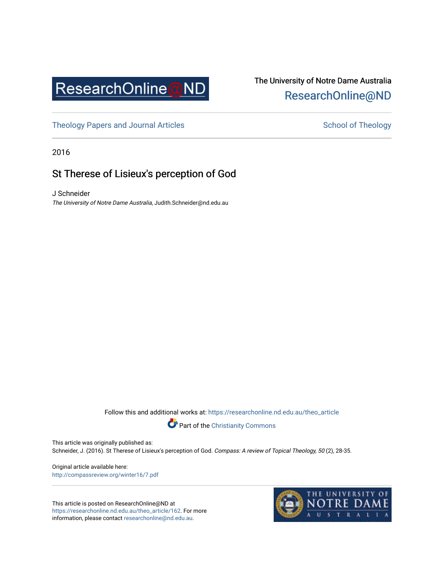

# The University of Notre Dame Australia [ResearchOnline@ND](https://researchonline.nd.edu.au/)

[Theology Papers and Journal Articles](https://researchonline.nd.edu.au/theo_article) and [School of Theology](https://researchonline.nd.edu.au/theo) School of Theology

2016

## St Therese of Lisieux's perception of God

J Schneider The University of Notre Dame Australia, Judith.Schneider@nd.edu.au

Follow this and additional works at: [https://researchonline.nd.edu.au/theo\\_article](https://researchonline.nd.edu.au/theo_article?utm_source=researchonline.nd.edu.au%2Ftheo_article%2F162&utm_medium=PDF&utm_campaign=PDFCoverPages) 



This article was originally published as: Schneider, J. (2016). St Therese of Lisieux's perception of God. Compass: A review of Topical Theology, 50 (2), 28-35.

Original article available here: <http://compassreview.org/winter16/7.pdf>

This article is posted on ResearchOnline@ND at [https://researchonline.nd.edu.au/theo\\_article/162](https://researchonline.nd.edu.au/theo_article/162). For more information, please contact [researchonline@nd.edu.au.](mailto:researchonline@nd.edu.au)

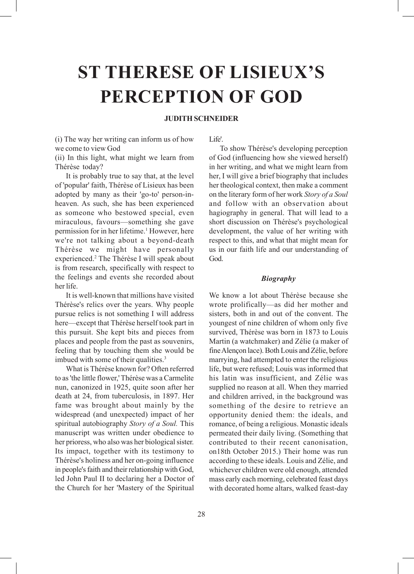# **ST THERESE OF LISIEUX'S PERCEPTION OF GOD**

## **JUDITH SCHNEIDER**

(i) The way her writing can inform us of how we come to view God

(ii) In this light, what might we learn from Thérèse today?

It is probably true to say that, at the level of 'popular' faith, Thérèse of Lisieux has been adopted by many as their 'go-to' person-inheaven. As such, she has been experienced as someone who bestowed special, even miraculous, favours—something she gave permission for in her lifetime.<sup>1</sup> However, here we're not talking about a beyond-death Thérèse we might have personally experienced.2 The Thérèse I will speak about is from research, specifically with respect to the feelings and events she recorded about her life.

It is well-known that millions have visited Thérèse's relics over the years. Why people pursue relics is not something I will address here—except that Thérèse herself took part in this pursuit. She kept bits and pieces from places and people from the past as souvenirs, feeling that by touching them she would be imbued with some of their qualities.<sup>3</sup>

What is Thérèse known for? Often referred to as 'the little flower,' Thérèse was a Carmelite nun, canonized in 1925, quite soon after her death at 24, from tuberculosis, in 1897. Her fame was brought about mainly by the widespread (and unexpected) impact of her spiritual autobiography *Story of a Soul.* This manuscript was written under obedience to her prioress, who also was her biological sister. Its impact, together with its testimony to Thérèse's holiness and her on-going influence in people's faith and their relationship with God, led John Paul II to declaring her a Doctor of the Church for her 'Mastery of the Spiritual Life'.

To show Thérèse's developing perception of God (influencing how she viewed herself) in her writing, and what we might learn from her, I will give a brief biography that includes her theological context, then make a comment on the literary form of her work *Story of a Soul* and follow with an observation about hagiography in general. That will lead to a short discussion on Thérèse's psychological development, the value of her writing with respect to this, and what that might mean for us in our faith life and our understanding of God.

#### *Biography*

We know a lot about Thérèse because she wrote prolifically—as did her mother and sisters, both in and out of the convent. The youngest of nine children of whom only five survived, Thérèse was born in 1873 to Louis Martin (a watchmaker) and Zélie (a maker of fine Alençon lace). Both Louis and Zélie, before marrying, had attempted to enter the religious life, but were refused; Louis was informed that his latin was insufficient, and Zélie was supplied no reason at all. When they married and children arrived, in the background was something of the desire to retrieve an opportunity denied them: the ideals, and romance, of being a religious. Monastic ideals permeated their daily living. (Something that contributed to their recent canonisation, on18th October 2015.) Their home was run according to these ideals. Louis and Zélie, and whichever children were old enough, attended mass early each morning, celebrated feast days with decorated home altars, walked feast-day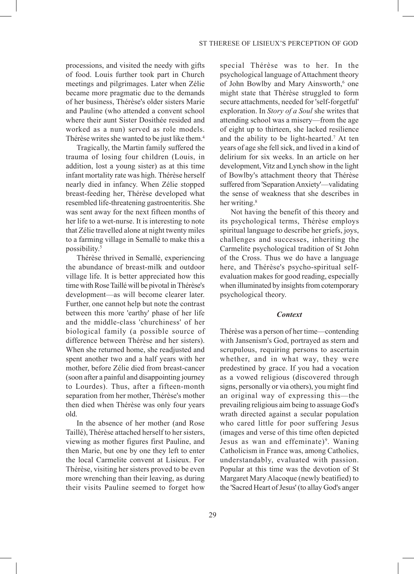processions, and visited the needy with gifts of food. Louis further took part in Church meetings and pilgrimages. Later when Zélie became more pragmatic due to the demands of her business, Thérèse's older sisters Marie and Pauline (who attended a convent school where their aunt Sister Dosithée resided and worked as a nun) served as role models. Thérèse writes she wanted to be just like them.4

Tragically, the Martin family suffered the trauma of losing four children (Louis, in addition, lost a young sister) as at this time infant mortality rate was high. Thérèse herself nearly died in infancy. When Zélie stopped breast-feeding her, Thérèse developed what resembled life-threatening gastroenteritis. She was sent away for the next fifteen months of her life to a wet-nurse. It is interesting to note that Zélie travelled alone at night twenty miles to a farming village in Semallé to make this a possibility.5

Thérèse thrived in Semallé, experiencing the abundance of breast-milk and outdoor village life. It is better appreciated how this time with Rose Taillé will be pivotal in Thérèse's development—as will become clearer later. Further, one cannot help but note the contrast between this more 'earthy' phase of her life and the middle-class 'churchiness' of her biological family (a possible source of difference between Thérèse and her sisters). When she returned home, she readjusted and spent another two and a half years with her mother, before Zélie died from breast-cancer (soon after a painful and disappointing journey to Lourdes). Thus, after a fifteen-month separation from her mother, Thérèse's mother then died when Thérèse was only four years old.

In the absence of her mother (and Rose Taillé), Thérèse attached herself to her sisters, viewing as mother figures first Pauline, and then Marie, but one by one they left to enter the local Carmelite convent at Lisieux. For Thérèse, visiting her sisters proved to be even more wrenching than their leaving, as during their visits Pauline seemed to forget how

special Thérèse was to her. In the psychological language of Attachment theory of John Bowlby and Mary Ainsworth,<sup>6</sup> one might state that Thérèse struggled to form secure attachments, needed for 'self-forgetful' exploration. In *Story of a Soul* she writes that attending school was a misery—from the age of eight up to thirteen, she lacked resilience and the ability to be light-hearted.7 At ten years of age she fell sick, and lived in a kind of delirium for six weeks. In an article on her development, Vitz and Lynch show in the light of Bowlby's attachment theory that Thérèse suffered from 'Separation Anxiety'—validating the sense of weakness that she describes in her writing.<sup>8</sup>

Not having the benefit of this theory and its psychological terms, Thérèse employs spiritual language to describe her griefs, joys, challenges and successes, inheriting the Carmelite psychological tradition of St John of the Cross. Thus we do have a language here, and Thérèse's psycho-spiritual selfevaluation makes for good reading, especially when illuminated by insights from cotemporary psychological theory.

#### *Context*

Thérèse was a person of her time—contending with Jansenism's God, portrayed as stern and scrupulous, requiring persons to ascertain whether, and in what way, they were predestined by grace. If you had a vocation as a vowed religious (discovered through signs, personally or via others), you might find an original way of expressing this—the prevailing religious aim being to assuage God's wrath directed against a secular population who cared little for poor suffering Jesus (images and verse of this time often depicted Jesus as wan and effeminate)<sup>9</sup>. Waning Catholicism in France was, among Catholics, understandably, evaluated with passion. Popular at this time was the devotion of St Margaret Mary Alacoque (newly beatified) to the 'Sacred Heart of Jesus' (to allay God's anger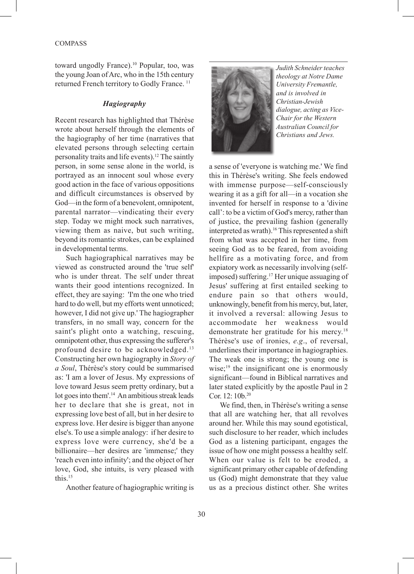toward ungodly France).<sup>10</sup> Popular, too, was the young Joan of Arc, who in the 15th century returned French territory to Godly France. 11

#### *Hagiography*

Recent research has highlighted that Thérèse wrote about herself through the elements of the hagiography of her time (narratives that elevated persons through selecting certain personality traits and life events).<sup>12</sup> The saintly person, in some sense alone in the world, is portrayed as an innocent soul whose every good action in the face of various oppositions and difficult circumstances is observed by God—in the form of a benevolent, omnipotent, parental narrator—vindicating their every step. Today we might mock such narratives, viewing them as naive, but such writing, beyond its romantic strokes, can be explained in developmental terms.

Such hagiographical narratives may be viewed as constructed around the 'true self' who is under threat. The self under threat wants their good intentions recognized. In effect, they are saying: 'I'm the one who tried hard to do well, but my efforts went unnoticed; however, I did not give up.' The hagiographer transfers, in no small way, concern for the saint's plight onto a watching, rescuing, omnipotent other, thus expressing the sufferer's profound desire to be acknowledged.13 Constructing her own hagiography in *Story of a Soul*, Thérèse's story could be summarised as: 'I am a lover of Jesus. My expressions of love toward Jesus seem pretty ordinary, but a lot goes into them'.<sup>14</sup> An ambitious streak leads her to declare that she is great, not in expressing love best of all, but in her desire to express love. Her desire is bigger than anyone else's. To use a simple analogy: if her desire to express love were currency, she'd be a billionaire—her desires are 'immense;' they 'reach even into infinity'; and the object of her love, God, she intuits, is very pleased with this.15

Another feature of hagiographic writing is



*Judith Schneider teaches theology at Notre Dame University Fremantle, and is involved in Christian-Jewish dialogue, acting as Vice-Chair for the Western Australian Council for Christians and Jews.*

a sense of 'everyone is watching me.' We find this in Thérèse's writing. She feels endowed with immense purpose—self-consciously wearing it as a gift for all—in a vocation she invented for herself in response to a 'divine call': to be a victim of God's mercy, rather than of justice, the prevailing fashion (generally interpreted as wrath).<sup>16</sup> This represented a shift from what was accepted in her time, from seeing God as to be feared, from avoiding hellfire as a motivating force, and from expiatory work as necessarily involving (selfimposed) suffering.<sup>17</sup> Her unique assuaging of Jesus' suffering at first entailed seeking to endure pain so that others would, unknowingly, benefit from his mercy, but, later, it involved a reversal: allowing Jesus to accommodate her weakness would demonstrate her gratitude for his mercy.18 Thérèse's use of ironies, *e.g*., of reversal, underlines their importance in hagiographies. The weak one is strong; the young one is wise; $19$  the insignificant one is enormously significant—found in Biblical narratives and later stated explicitly by the apostle Paul in 2 Cor. 12: 10b.<sup>20</sup>

We find, then, in Thérèse's writing a sense that all are watching her, that all revolves around her. While this may sound egotistical, such disclosure to her reader, which includes God as a listening participant, engages the issue of how one might possess a healthy self. When our value is felt to be eroded, a significant primary other capable of defending us (God) might demonstrate that they value us as a precious distinct other. She writes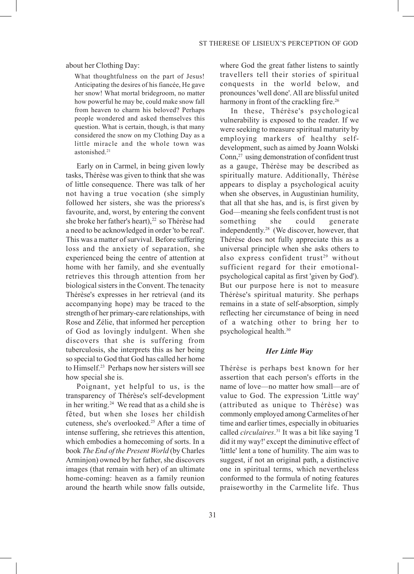about her Clothing Day:

What thoughtfulness on the part of Jesus! Anticipating the desires of his fiancée, He gave her snow! What mortal bridegroom, no matter how powerful he may be, could make snow fall from heaven to charm his beloved? Perhaps people wondered and asked themselves this question. What is certain, though, is that many considered the snow on my Clothing Day as a little miracle and the whole town was astonished<sup>21</sup>

Early on in Carmel, in being given lowly tasks, Thérèse was given to think that she was of little consequence. There was talk of her not having a true vocation (she simply followed her sisters, she was the prioress's favourite, and, worst, by entering the convent she broke her father's heart),<sup>22</sup> so Thérèse had a need to be acknowledged in order 'to be real'. This was a matter of survival. Before suffering loss and the anxiety of separation, she experienced being the centre of attention at home with her family, and she eventually retrieves this through attention from her biological sisters in the Convent. The tenacity Thérèse's expresses in her retrieval (and its accompanying hope) may be traced to the strength of her primary-care relationships, with Rose and Zélie, that informed her perception of God as lovingly indulgent. When she discovers that she is suffering from tuberculosis, she interprets this as her being so special to God that God has called her home to Himself.23 Perhaps now her sisters will see how special she is.

Poignant, yet helpful to us, is the transparency of Thérèse's self-development in her writing.24 We read that as a child she is fêted, but when she loses her childish cuteness, she's overlooked.25 After a time of intense suffering, she retrieves this attention, which embodies a homecoming of sorts. In a book *The End of the Present World* (by Charles Arminjon) owned by her father, she discovers images (that remain with her) of an ultimate home-coming: heaven as a family reunion around the hearth while snow falls outside, where God the great father listens to saintly travellers tell their stories of spiritual conquests in the world below, and pronounces 'well done'. All are blissful united harmony in front of the crackling fire.<sup>26</sup>

In these, Thérèse's psychological vulnerability is exposed to the reader. If we were seeking to measure spiritual maturity by employing markers of healthy selfdevelopment, such as aimed by Joann Wolski Conn,27 using demonstration of confident trust as a gauge, Thérèse may be described as spiritually mature. Additionally, Thérèse appears to display a psychological acuity when she observes, in Augustinian humility, that all that she has, and is, is first given by God—meaning she feels confident trust is not something she could generate independently.28 (We discover, however, that Thérèse does not fully appreciate this as a universal principle when she asks others to also express confident trust<sup>29</sup> without sufficient regard for their emotionalpsychological capital as first 'given by God'). But our purpose here is not to measure Thérèse's spiritual maturity. She perhaps remains in a state of self-absorption, simply reflecting her circumstance of being in need of a watching other to bring her to psychological health.30

#### *Her Little Way*

Thérèse is perhaps best known for her assertion that each person's efforts in the name of love—no matter how small—are of value to God. The expression 'Little way' (attributed as unique to Thérèse) was commonly employed among Carmelites of her time and earlier times, especially in obituaries called *circulaires*. 31 It was a bit like saying 'I did it my way!' except the diminutive effect of 'little' lent a tone of humility. The aim was to suggest, if not an original path, a distinctive one in spiritual terms, which nevertheless conformed to the formula of noting features praiseworthy in the Carmelite life. Thus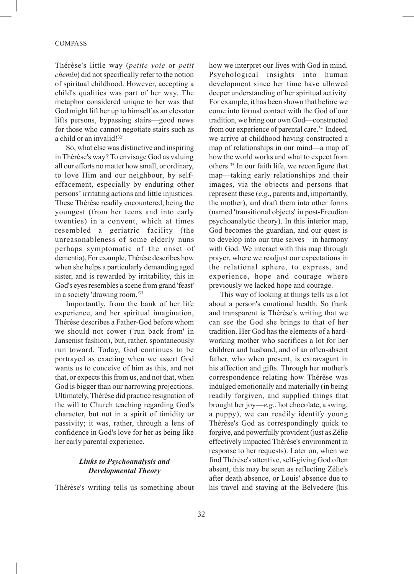Thérèse's little way (*petite voie* or *petit chemin*) did not specifically refer to the notion of spiritual childhood. However, accepting a child's qualities was part of her way. The metaphor considered unique to her was that God might lift her up to himself as an elevator lifts persons, bypassing stairs—good news for those who cannot negotiate stairs such as a child or an invalid!<sup>32</sup>

So, what else was distinctive and inspiring in Thérèse's way? To envisage God as valuing all our efforts no matter how small, or ordinary, to love Him and our neighbour, by selfeffacement, especially by enduring other persons' irritating actions and little injustices. These Thérèse readily encountered, being the youngest (from her teens and into early twenties) in a convent, which at times resembled a geriatric facility (the unreasonableness of some elderly nuns perhaps symptomatic of the onset of dementia). For example, Thérèse describes how when she helps a particularly demanding aged sister, and is rewarded by irritability, this in God's eyes resembles a scene from grand 'feast' in a society 'drawing room.'33

Importantly, from the bank of her life experience, and her spiritual imagination, Thérèse describes a Father-God before whom we should not cower ('run back from' in Jansenist fashion), but, rather, spontaneously run toward. Today, God continues to be portrayed as exacting when we assert God wants us to conceive of him as this, and not that, or expects this from us, and not that, when God is bigger than our narrowing projections. Ultimately, Thérèse did practice resignation of the will to Church teaching regarding God's character, but not in a spirit of timidity or passivity; it was, rather, through a lens of confidence in God's love for her as being like her early parental experience.

## *Links to Psychoanalysis and Developmental Theory*

Thérèse's writing tells us something about

how we interpret our lives with God in mind. Psychological insights into human development since her time have allowed deeper understanding of her spiritual activity. For example, it has been shown that before we come into formal contact with the God of our tradition, we bring our own God—constructed from our experience of parental care.<sup>34</sup> Indeed, we arrive at childhood having constructed a map of relationships in our mind—a map of how the world works and what to expect from others.35 In our faith life, we reconfigure that map—taking early relationships and their images, via the objects and persons that represent these (*e.g*., parents and, importantly, the mother), and draft them into other forms (named 'transitional objects' in post-Freudian psychoanalytic theory). In this interior map, God becomes the guardian, and our quest is to develop into our true selves—in harmony with God. We interact with this map through prayer, where we readjust our expectations in the relational sphere, to express, and experience, hope and courage where previously we lacked hope and courage.

This way of looking at things tells us a lot about a person's emotional health. So frank and transparent is Thérèse's writing that we can see the God she brings to that of her tradition. Her God has the elements of a hardworking mother who sacrifices a lot for her children and husband, and of an often-absent father, who when present, is extravagant in his affection and gifts. Through her mother's correspondence relating how Thérèse was indulged emotionally and materially (in being readily forgiven, and supplied things that brought her joy—*e.g*., hot chocolate, a swing, a puppy), we can readily identify young Thérèse's God as correspondingly quick to forgive, and powerfully provident (just as Zélie effectively impacted Thérèse's environment in response to her requests). Later on, when we find Thérèse's attentive, self-giving God often absent, this may be seen as reflecting Zélie's after death absence, or Louis' absence due to his travel and staying at the Belvedere (his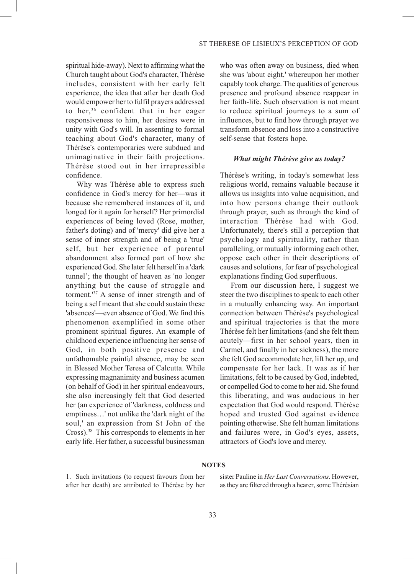spiritual hide-away). Next to affirming what the Church taught about God's character, Thérèse includes, consistent with her early felt experience, the idea that after her death God would empower her to fulfil prayers addressed to her, 36 confident that in her eager responsiveness to him, her desires were in unity with God's will. In assenting to formal teaching about God's character, many of Thérèse's contemporaries were subdued and unimaginative in their faith projections. Thérèse stood out in her irrepressible confidence.

Why was Thérèse able to express such confidence in God's mercy for her—was it because she remembered instances of it, and longed for it again for herself? Her primordial experiences of being loved (Rose, mother, father's doting) and of 'mercy' did give her a sense of inner strength and of being a 'true' self, but her experience of parental abandonment also formed part of how she experienced God. She later felt herself in a 'dark tunnel'; the thought of heaven as 'no longer anything but the cause of struggle and torment.'37 A sense of inner strength and of being a self meant that she could sustain these 'absences'—even absence of God. We find this phenomenon exemplified in some other prominent spiritual figures. An example of childhood experience influencing her sense of God, in both positive presence and unfathomable painful absence, may be seen in Blessed Mother Teresa of Calcutta. While expressing magnanimity and business acumen (on behalf of God) in her spiritual endeavours, she also increasingly felt that God deserted her (an experience of 'darkness, coldness and emptiness…' not unlike the 'dark night of the soul,' an expression from St John of the Cross).38 This corresponds to elements in her early life. Her father, a successful businessman

who was often away on business, died when she was 'about eight,' whereupon her mother capably took charge. The qualities of generous presence and profound absence reappear in her faith-life. Such observation is not meant to reduce spiritual journeys to a sum of influences, but to find how through prayer we transform absence and loss into a constructive self-sense that fosters hope.

#### *What might Thérèse give us today?*

Thérèse's writing, in today's somewhat less religious world, remains valuable because it allows us insights into value acquisition, and into how persons change their outlook through prayer, such as through the kind of interaction Thérèse had with God. Unfortunately, there's still a perception that psychology and spirituality, rather than paralleling, or mutually informing each other, oppose each other in their descriptions of causes and solutions, for fear of psychological explanations finding God superfluous.

From our discussion here, I suggest we steer the two disciplines to speak to each other in a mutually enhancing way. An important connection between Thérèse's psychological and spiritual trajectories is that the more Thérèse felt her limitations (and she felt them acutely—first in her school years, then in Carmel, and finally in her sickness), the more she felt God accommodate her, lift her up, and compensate for her lack. It was as if her limitations, felt to be caused by God, indebted, or compelled God to come to her aid. She found this liberating, and was audacious in her expectation that God would respond. Thérèse hoped and trusted God against evidence pointing otherwise. She felt human limitations and failures were, in God's eyes, assets, attractors of God's love and mercy.

#### **NOTES**

1. Such invitations (to request favours from her after her death) are attributed to Thérèse by her sister Pauline in *Her Last Conversations*. However, as they are filtered through a hearer, some Thérèsian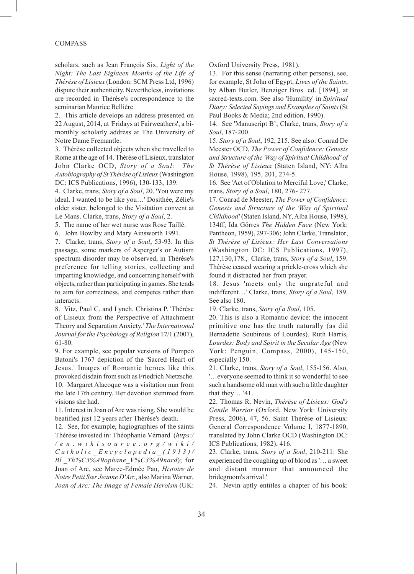#### COMPASS

scholars, such as Jean François Six, *Light of the Night: The Last Eighteen Months of the Life of Thérèse of Lisieux* (London: SCM Press Ltd, 1996) dispute their authenticity. Nevertheless, invitations are recorded in Thérèse's correspondence to the seminarian Maurice Bellière.

2. This article develops an address presented on 22 August, 2014, at 'Fridays at Fairweathers', a bimonthly scholarly address at The University of Notre Dame Fremantle.

3. Thérèse collected objects when she travelled to Rome at the age of 14. Thérèse of Lisieux, translator John Clarke OCD, *Story of a Soul: The Autobiography of St Thérèse of Lisieux* (Washington DC: ICS Publications, 1996), 130-133, 139.

4. Clarke, trans, *Story of a Soul*, 20. 'You were my ideal. I wanted to be like you…' Dosithée, Zélie's older sister, belonged to the Visitation convent at Le Mans. Clarke, trans, *Story of a Soul*, 2.

5. The name of her wet nurse was Rose Taillé.

6. John Bowlby and Mary Ainsworth 1991.

7. Clarke, trans, *Story of a Soul*, 53-93. In this passage, some markers of Asperger's or Autism spectrum disorder may be observed, in Thérèse's preference for telling stories, collecting and imparting knowledge, and concerning herself with objects, rather than participating in games. She tends to aim for correctness, and competes rather than interacts.

8. Vitz, Paul C. and Lynch, Christina P. 'Thérèse of Lisieux from the Perspective of Attachment Theory and Separation Anxiety.' *The International Journal for the Psychology of Religion* 17/1 (2007), 61-80.

9. For example, see popular versions of Pompeo Batoni's 1767 depiction of the 'Sacred Heart of Jesus.' Images of Romantic heroes like this provoked disdain from such as Friedrich Nietzsche. 10. Margaret Alacoque was a visitation nun from the late 17th century. Her devotion stemmed from visions she had.

11. Interest in Joan of Arc was rising. She would be beatified just 12 years after Thérèse's death.

12. See, for example, hagiographies of the saints Thérèse invested in: Théophanie Vérnard (*https:/ /en.wikisource.org/wiki/ Catholic\_Encyclopedia\_(1913)/ Bl.\_Th%C3%A9ophane\_V%C3%A9nard*); for Joan of Arc, see Maree-Edmée Pau, *Histoire de Notre Petit Sœr Jeanne D'Arc*, also Marina Warner, *Joan of Arc: The Image of Female Heroism* (UK:

Oxford University Press, 1981).

13. For this sense (narrating other persons), see, for example, St John of Egypt, *Lives of the Saints*, by Alban Butler, Benziger Bros. ed. [1894], at sacred-texts.com. See also 'Humility' in *Spiritual Diary: Selected Sayings and Examples of Saints* (St Paul Books & Media; 2nd edition, 1990).

14. See 'Manuscript B', Clarke, trans, *Story of a Soul*, 187-200.

15. *Story of a Soul*, 192, 215. See also: Conrad De Meester OCD, *The Power of Confidence: Genesis and Structure of the 'Way of Spiritual Childhood' of St Thérèse of Lisieux* (Staten Island, NY: Alba House, 1998), 195, 201, 274-5.

16. See 'Act of Oblation to Merciful Love,' Clarke, trans, *Story of a Soul*, 180, 276- 277.

17. Conrad de Meester, *The Power of Confidence: Genesis and Structure of the 'Way of Spiritual Childhood'* (Staten Island, NY, Alba House, 1998), 134ff; Ida Görres *The Hidden Face* (New York: Pantheon, 1959), 297-306; John Clarke, Translator, *St Thérèse of Lisieux: Her Last Conversations* (Washington DC: ICS Publications, 1997), 127,130,178., Clarke, trans, *Story of a Soul*, 159. Thérèse ceased wearing a prickle-cross which she found it distracted her from prayer.

18. Jesus 'meets only the ungrateful and indifferent…' Clarke, trans, *Story of a Soul*, 189. See also 180.

19. Clarke, trans, *Story of a Soul*, 105.

20. This is also a Romantic device: the innocent primitive one has the truth naturally (as did Bernadette Soubirous of Lourdes). Ruth Harris, *Lourdes: Body and Spirit in the Secular Age* (New York: Penguin, Compass, 2000), 145-150, especially 150.

21. Clarke, trans, *Story of a Soul*, 155-156. Also, '…everyone seemed to think it so wonderful to see such a handsome old man with such a little daughter that they …'41.

22. Thomas R. Nevin, *Thérèse of Lisieux: God's Gentle Warrior* (Oxford, New York: University Press, 2006), 47, 56. Saint Thérèse of Lisieux: General Correspondence Volume I, 1877-1890, translated by John Clarke OCD (Washington DC: ICS Publications, 1982), 416.

23. Clarke, trans, *Story of a Soul*, 210-211: She experienced the coughing up of blood as '… a sweet and distant murmur that announced the bridegroom's arrival.'

24. Nevin aptly entitles a chapter of his book: